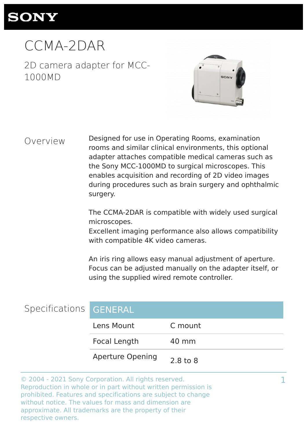## **SONY**

CCMA-2DAR

2D camera adapter for MCC-1000MD



#### Overview

Designed for use in Operating Rooms, examination rooms and similar clinical environments, this optional adapter attaches compatible medical cameras such as the Sony MCC-1000MD to surgical microscopes. This enables acquisition and recording of 2D video images during procedures such as brain surgery and ophthalmic surgery.

The CCMA-2DAR is compatible with widely used surgical microscopes.

Excellent imaging performance also allows compatibility with compatible 4K video cameras.

An iris ring allows easy manual adjustment of aperture. Focus can be adjusted manually on the adapter itself, or using the supplied wired remote controller.

1

| Specifications GENERAL |                         |          |
|------------------------|-------------------------|----------|
|                        | Lens Mount              | C mount  |
|                        | Focal Length            | 40 mm    |
|                        | <b>Aperture Opening</b> | 2.8 to 8 |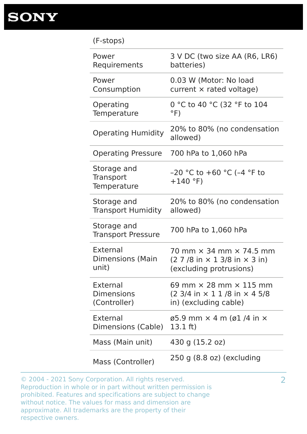#### (F-stops)

| Power                                    | 3 V DC (two size AA (R6, LR6)                                                       |
|------------------------------------------|-------------------------------------------------------------------------------------|
| Requirements                             | batteries)                                                                          |
| Power                                    | 0.03 W (Motor: No load                                                              |
| Consumption                              | current $\times$ rated voltage)                                                     |
| Operating                                | 0 °C to 40 °C (32 °F to 104                                                         |
| Temperature                              | $\circ$ F)                                                                          |
| <b>Operating Humidity</b>                | 20% to 80% (no condensation<br>allowed)                                             |
| <b>Operating Pressure</b>                | 700 hPa to 1,060 hPa                                                                |
| Storage and<br>Transport<br>Temperature  | $-20$ °C to $+60$ °C (-4 °F to<br>$+140$ °F)                                        |
| Storage and                              | 20% to 80% (no condensation                                                         |
| <b>Transport Humidity</b>                | allowed)                                                                            |
| Storage and<br><b>Transport Pressure</b> | 700 hPa to 1,060 hPa                                                                |
| External                                 | 70 mm $\times$ 34 mm $\times$ 74.5 mm                                               |
| <b>Dimensions (Main</b>                  | $(27/8$ in $\times$ 1 3/8 in $\times$ 3 in)                                         |
| unit)                                    | (excluding protrusions)                                                             |
| External                                 | 69 mm $\times$ 28 mm $\times$ 115 mm                                                |
| <b>Dimensions</b>                        | $(2 \frac{3}{4} \text{ in } \times 11 \text{ /}8 \text{ in } \times 45 \text{ /}8)$ |
| (Controller)                             | in) (excluding cable)                                                               |
| External                                 | $\varnothing$ 5.9 mm $\times$ 4 m ( $\varnothing$ 1 /4 in $\times$                  |
| Dimensions (Cable)                       | 13.1 $ft)$                                                                          |
| Mass (Main unit)                         | 430 g (15.2 oz)                                                                     |
| Mass (Controller)                        | $250$ g $(8.8$ oz) (excluding                                                       |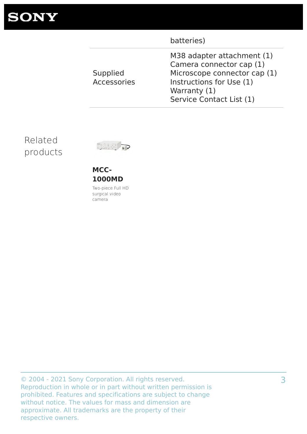**SONY** 

|                                | batteries)                                                                                                                                                     |
|--------------------------------|----------------------------------------------------------------------------------------------------------------------------------------------------------------|
| Supplied<br><b>Accessories</b> | M38 adapter attachment (1)<br>Camera connector cap (1)<br>Microscope connector cap (1)<br>Instructions for Use (1)<br>Warranty (1)<br>Service Contact List (1) |

### Related products



**MCC-1000MD** Two-piece Full HD

surgical video camera